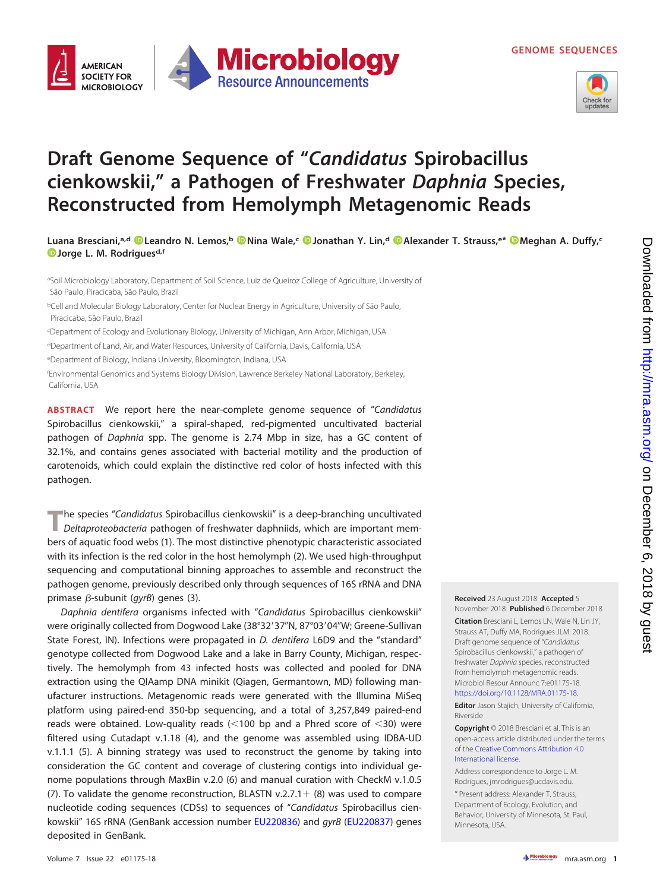



## **Draft Genome Sequence of "Candidatus Spirobacillus cienkowskii," a Pathogen of Freshwater Daphnia Species, Reconstructed from Hemolymph Metagenomic Reads**

**Luana Bresciani,a,d [Leandro N. Lemos,](https://orcid.org/0000-0002-0898-568X)b [Nina Wale,](https://orcid.org/0000-0001-9703-444X)c [Jonathan Y. Lin,](https://orcid.org/0000-0003-4977-2506)d [Alexander T. Strauss,](https://orcid.org/0000-0003-0633-8443)e\* [Meghan A. Duffy,](https://orcid.org/0000-0002-8142-0802)c [Jorge L. M. Rodriguesd](https://orcid.org/0000-0002-6446-6462),f**

<sup>a</sup>Soil Microbiology Laboratory, Department of Soil Science, Luiz de Queiroz College of Agriculture, University of São Paulo, Piracicaba, São Paulo, Brazil

<sup>b</sup>Cell and Molecular Biology Laboratory, Center for Nuclear Energy in Agriculture, University of São Paulo, Piracicaba, São Paulo, Brazil

c Department of Ecology and Evolutionary Biology, University of Michigan, Ann Arbor, Michigan, USA

<sup>d</sup>Department of Land, Air, and Water Resources, University of California, Davis, California, USA

<sup>e</sup>Department of Biology, Indiana University, Bloomington, Indiana, USA

f Environmental Genomics and Systems Biology Division, Lawrence Berkeley National Laboratory, Berkeley, California, USA

**ABSTRACT** We report here the near-complete genome sequence of "Candidatus Spirobacillus cienkowskii," a spiral-shaped, red-pigmented uncultivated bacterial pathogen of Daphnia spp. The genome is 2.74 Mbp in size, has a GC content of 32.1%, and contains genes associated with bacterial motility and the production of carotenoids, which could explain the distinctive red color of hosts infected with this pathogen.

**T**he species "Candidatus Spirobacillus cienkowskii" is a deep-branching uncultivated Deltaproteobacteria pathogen of freshwater daphniids, which are important members of aquatic food webs [\(1\)](#page-1-0). The most distinctive phenotypic characteristic associated with its infection is the red color in the host hemolymph [\(2\)](#page-1-1). We used high-throughput sequencing and computational binning approaches to assemble and reconstruct the pathogen genome, previously described only through sequences of 16S rRNA and DNA primase  $\beta$ -subunit (gyrB) genes [\(3\)](#page-1-2).

Daphnia dentifera organisms infected with "Candidatus Spirobacillus cienkowskii" were originally collected from Dogwood Lake (38°32′37″N, 87°03′04″W; Greene-Sullivan State Forest, IN). Infections were propagated in D. dentifera L6D9 and the "standard" genotype collected from Dogwood Lake and a lake in Barry County, Michigan, respectively. The hemolymph from 43 infected hosts was collected and pooled for DNA extraction using the QIAamp DNA minikit (Qiagen, Germantown, MD) following manufacturer instructions. Metagenomic reads were generated with the Illumina MiSeq platform using paired-end 350-bp sequencing, and a total of 3,257,849 paired-end reads were obtained. Low-quality reads  $\left($  < 100 bp and a Phred score of  $\leq$  30) were filtered using Cutadapt v.1.18 [\(4\)](#page-1-3), and the genome was assembled using IDBA-UD v.1.1.1 [\(5\)](#page-1-4). A binning strategy was used to reconstruct the genome by taking into consideration the GC content and coverage of clustering contigs into individual genome populations through MaxBin v.2.0 [\(6\)](#page-1-5) and manual curation with CheckM v.1.0.5 [\(7\)](#page-1-6). To validate the genome reconstruction, BLASTN v.2.7.1 + [\(8\)](#page-1-7) was used to compare nucleotide coding sequences (CDSs) to sequences of "Candidatus Spirobacillus cien-kowskii" 16S rRNA (GenBank accession number [EU220836\)](https://www.ncbi.nlm.nih.gov/nuccore/EU220836) and gyrB [\(EU220837\)](https://www.ncbi.nlm.nih.gov/nuccore/EU220837) genes deposited in GenBank.

## **Received** 23 August 2018 **Accepted** 5 November 2018 **Published** 6 December 2018

**Citation** Bresciani L, Lemos LN, Wale N, Lin JY, Strauss AT, Duffy MA, Rodrigues JLM. 2018. Draft genome sequence of "Candidatus Spirobacillus cienkowskii," a pathogen of freshwater Daphnia species, reconstructed from hemolymph metagenomic reads. Microbiol Resour Announc 7:e01175-18. [https://doi.org/10.1128/MRA.01175-18.](https://doi.org/10.1128/MRA.01175-18)

**Editor** Jason Stajich, University of California, Riverside

**Copyright** © 2018 Bresciani et al. This is an open-access article distributed under the terms of the [Creative Commons Attribution 4.0](https://creativecommons.org/licenses/by/4.0/) [International](https://creativecommons.org/licenses/by/4.0/) license.

Address correspondence to Jorge L. M. Rodrigues, [jmrodrigues@ucdavis.edu.](mailto:jmrodrigues@ucdavis.edu)

\* Present address: Alexander T. Strauss, Department of Ecology, Evolution, and Behavior, University of Minnesota, St. Paul, Minnesota, USA.